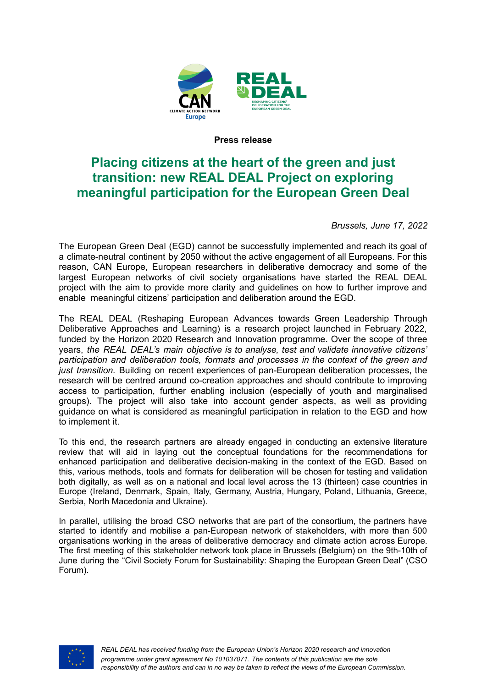

#### **Press release**

# **Placing citizens at the heart of the green and just transition: new REAL DEAL Project on exploring meaningful participation for the European Green Deal**

*Brussels, June 17, 2022*

The European Green Deal (EGD) cannot be successfully implemented and reach its goal of a climate-neutral continent by 2050 without the active engagement of all Europeans. For this reason, CAN Europe, European researchers in deliberative democracy and some of the largest European networks of civil society organisations have started the REAL DEAL project with the aim to provide more clarity and guidelines on how to further improve and enable meaningful citizens' participation and deliberation around the EGD.

The REAL DEAL (Reshaping European Advances towards Green Leadership Through Deliberative Approaches and Learning) is a research project launched in February 2022, funded by the Horizon 2020 Research and Innovation programme. Over the scope of three years, *the REAL DEAL's main objective is to analyse, test and validate innovative citizens' participation and deliberation tools, formats and processes in the context of the green and just transition.* Building on recent experiences of pan-European deliberation processes, the research will be centred around co-creation approaches and should contribute to improving access to participation, further enabling inclusion (especially of youth and marginalised groups). The project will also take into account gender aspects, as well as providing guidance on what is considered as meaningful participation in relation to the EGD and how to implement it.

To this end, the research partners are already engaged in conducting an extensive literature review that will aid in laying out the conceptual foundations for the recommendations for enhanced participation and deliberative decision-making in the context of the EGD. Based on this, various methods, tools and formats for deliberation will be chosen for testing and validation both digitally, as well as on a national and local level across the 13 (thirteen) case countries in Europe (Ireland, Denmark, Spain, Italy, Germany, Austria, Hungary, Poland, Lithuania, Greece, Serbia, North Macedonia and Ukraine).

In parallel, utilising the broad CSO networks that are part of the consortium, the partners have started to identify and mobilise a pan-European network of stakeholders, with more than 500 organisations working in the areas of deliberative democracy and climate action across Europe. The first meeting of this stakeholder network took place in Brussels (Belgium) on the 9th-10th of June during the "Civil Society Forum for Sustainability: Shaping the European Green Deal" (CSO Forum).

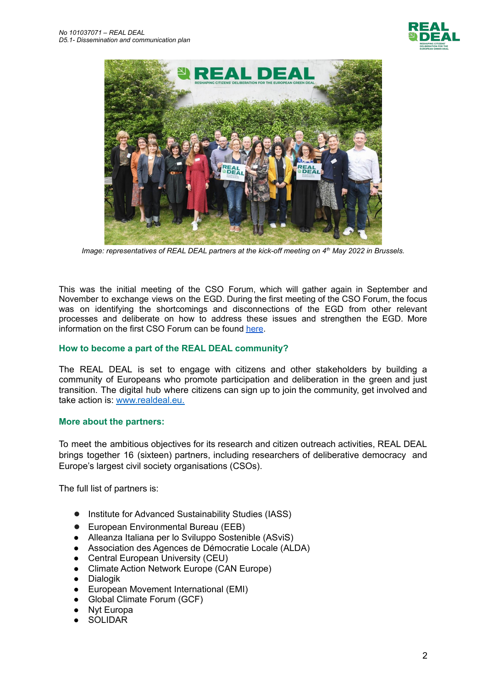



*Image: representatives of REAL DEAL partners at the kick-off meeting on 4th May 2022 in Brussels.*

This was the initial meeting of the CSO Forum, which will gather again in September and November to exchange views on the EGD. During the first meeting of the CSO Forum, the focus was on identifying the shortcomings and disconnections of the EGD from other relevant processes and deliberate on how to address these issues and strengthen the EGD. More information on the first CSO Forum can be found [here](https://www.realdeal.eu/202206_cso_kickoff).

### **How to become a part of the REAL DEAL community?**

The REAL DEAL is set to engage with citizens and other stakeholders by building a community of Europeans who promote participation and deliberation in the green and just transition. The digital hub where citizens can sign up to join the community, get involved and take action is: [www.realdeal.eu.](http://www.realdeal.eu)

#### **More about the partners:**

To meet the ambitious objectives for its research and citizen outreach activities, REAL DEAL brings together 16 (sixteen) partners, including researchers of deliberative democracy and Europe's largest civil society organisations (CSOs).

The full list of partners is:

- Institute for Advanced Sustainability Studies (IASS)
- European Environmental Bureau (EEB)
- Alleanza Italiana per lo Sviluppo Sostenible (ASviS)
- Association des Agences de Démocratie Locale (ALDA)
- Central European University (CEU)
- Climate Action Network Europe (CAN Europe)
- Dialogik
- European Movement International (EMI)
- Global Climate Forum (GCF)
- Nyt Europa
- **SOLIDAR**